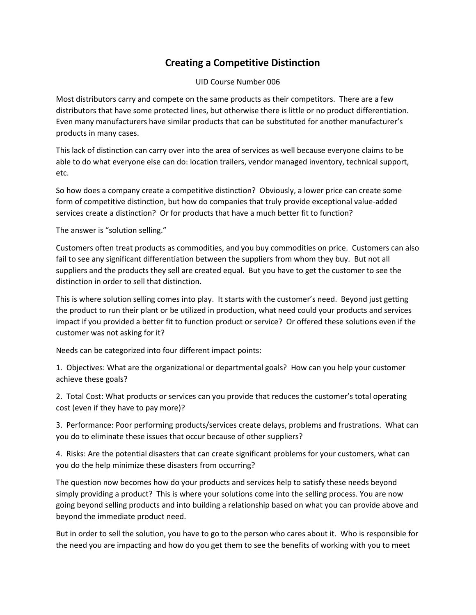## **Creating a Competitive Distinction**

UID Course Number 006

Most distributors carry and compete on the same products as their competitors. There are a few distributors that have some protected lines, but otherwise there is little or no product differentiation. Even many manufacturers have similar products that can be substituted for another manufacturer's products in many cases.

This lack of distinction can carry over into the area of services as well because everyone claims to be able to do what everyone else can do: location trailers, vendor managed inventory, technical support, etc.

So how does a company create a competitive distinction? Obviously, a lower price can create some form of competitive distinction, but how do companies that truly provide exceptional value-added services create a distinction? Or for products that have a much better fit to function?

The answer is "solution selling."

Customers often treat products as commodities, and you buy commodities on price. Customers can also fail to see any significant differentiation between the suppliers from whom they buy. But not all suppliers and the products they sell are created equal. But you have to get the customer to see the distinction in order to sell that distinction.

This is where solution selling comes into play. It starts with the customer's need. Beyond just getting the product to run their plant or be utilized in production, what need could your products and services impact if you provided a better fit to function product or service? Or offered these solutions even if the customer was not asking for it?

Needs can be categorized into four different impact points:

1. Objectives: What are the organizational or departmental goals? How can you help your customer achieve these goals?

2. Total Cost: What products or services can you provide that reduces the customer's total operating cost (even if they have to pay more)?

3. Performance: Poor performing products/services create delays, problems and frustrations. What can you do to eliminate these issues that occur because of other suppliers?

4. Risks: Are the potential disasters that can create significant problems for your customers, what can you do the help minimize these disasters from occurring?

The question now becomes how do your products and services help to satisfy these needs beyond simply providing a product? This is where your solutions come into the selling process. You are now going beyond selling products and into building a relationship based on what you can provide above and beyond the immediate product need.

But in order to sell the solution, you have to go to the person who cares about it. Who is responsible for the need you are impacting and how do you get them to see the benefits of working with you to meet